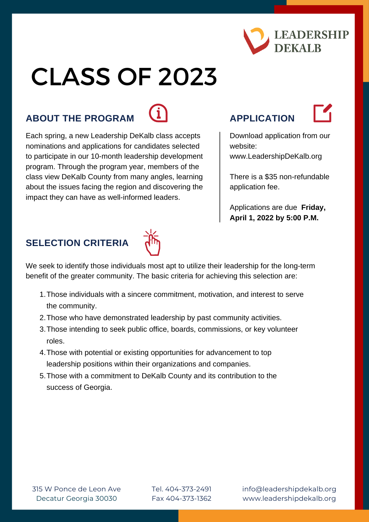

# CLASS OF 2023

### **ABOUT THE PROGRAM APPLICATION**



Each spring, a new Leadership DeKalb class accepts nominations and applications for candidates selected to participate in our 10-month leadership development program. Through the program year, members of the class view DeKalb County from many angles, learning about the issues facing the region and discovering the impact they can have as well-informed leaders.



Download application from our website:

www[.LeadershipDeKalb.org](http://leadershipdekalb.org/about/leadership-program)

There is a \$35 non-refundable application fee.

Applications are due **Friday, April 1, 2022 by 5:00 P.M.**

## **SELECTION CRITERIA**



We seek to identify those individuals most apt to utilize their leadership for the long-term benefit of the greater community. The basic criteria for achieving this selection are:

- Those individuals with a sincere commitment, motivation, and interest to serve 1. the community.
- 2. Those who have demonstrated leadership by past community activities.
- 3. Those intending to seek public office, boards, commissions, or key volunteer roles.
- Those with potential or existing opportunities for advancement to top 4. leadership positions within their organizations and companies.
- 5. Those with a commitment to DeKalb County and its contribution to the success of Georgia.

315 W Ponce de Leon Ave Decatur Georgia 30030

Tel. 404-373-2491 Fax 404-373-1362 info@leadershipdekalb.org www.leadershipdekalb.org